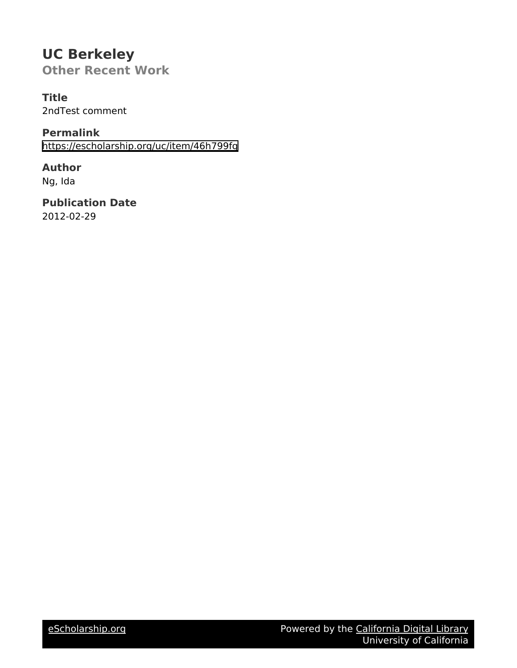## **UC Berkeley Other Recent Work**

**Title**

2ndTest comment

**Permalink** <https://escholarship.org/uc/item/46h799fg>

**Author** Ng, Ida

**Publication Date** 2012-02-29